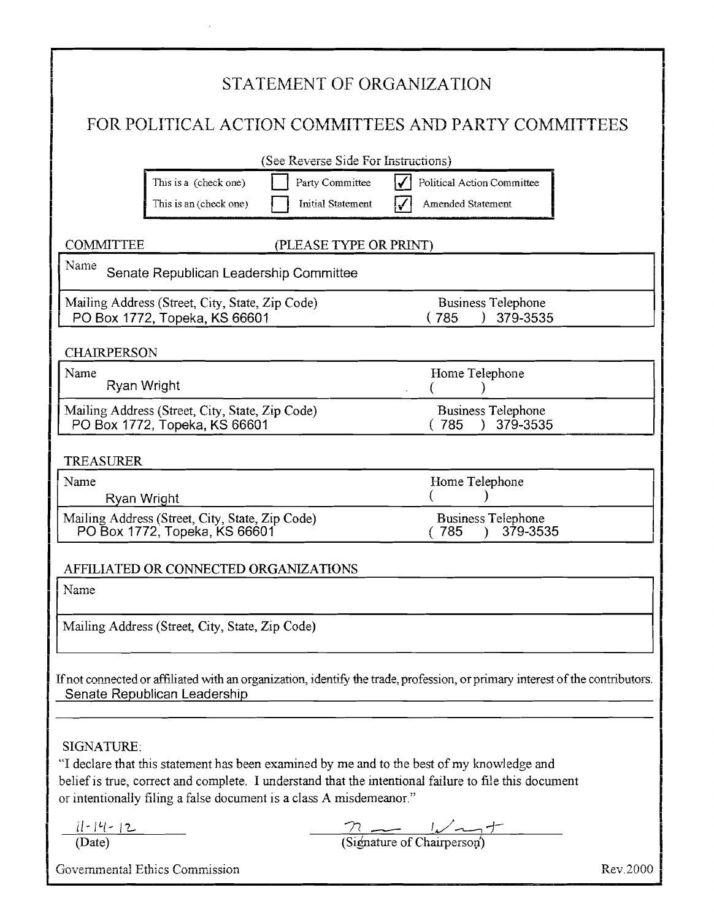|                                                      |                                                                                  |                                             | STATEMENT OF ORGANIZATION                                                                                                                                                                           |          |  |
|------------------------------------------------------|----------------------------------------------------------------------------------|---------------------------------------------|-----------------------------------------------------------------------------------------------------------------------------------------------------------------------------------------------------|----------|--|
| FOR POLITICAL ACTION COMMITTEES AND PARTY COMMITTEES |                                                                                  |                                             |                                                                                                                                                                                                     |          |  |
|                                                      |                                                                                  | (See Reverse Side For Instructions)         |                                                                                                                                                                                                     |          |  |
|                                                      | This is a (check one)<br>This is an (check one)                                  | Party Committee<br><b>Initial Statement</b> | Political Action Committee<br>Amended Statement                                                                                                                                                     |          |  |
| <b>COMMITTEE</b>                                     |                                                                                  | (PLEASE TYPE OR PRINT)                      |                                                                                                                                                                                                     |          |  |
| Name<br>Senate Republican Leadership Committee       |                                                                                  |                                             |                                                                                                                                                                                                     |          |  |
|                                                      | Mailing Address (Street, City, State, Zip Code)<br>PO Box 1772, Topeka, KS 66601 |                                             | <b>Business Telephone</b><br>(785)<br>379-3535                                                                                                                                                      |          |  |
| <b>CHAIRPERSON</b>                                   |                                                                                  |                                             |                                                                                                                                                                                                     |          |  |
| Name<br>Ryan Wright                                  |                                                                                  |                                             | Home Telephone                                                                                                                                                                                      |          |  |
|                                                      | Mailing Address (Street, City, State, Zip Code)<br>PO Box 1772, Topeka, KS 66601 |                                             | <b>Business Telephone</b><br>785<br>379-3535                                                                                                                                                        |          |  |
| <b>TREASURER</b>                                     |                                                                                  |                                             |                                                                                                                                                                                                     |          |  |
| Name<br>Ryan Wright                                  |                                                                                  |                                             | Home Telephone                                                                                                                                                                                      |          |  |
|                                                      | Mailing Address (Street, City, State, Zip Code)<br>PO Box 1772, Topeka, KS 66601 |                                             | <b>Business Telephone</b><br>379-3535<br>785                                                                                                                                                        |          |  |
|                                                      | AFFILIATED OR CONNECTED ORGANIZATIONS                                            |                                             |                                                                                                                                                                                                     |          |  |
| Name                                                 |                                                                                  |                                             |                                                                                                                                                                                                     |          |  |
|                                                      | Mailing Address (Street, City, State, Zip Code)                                  |                                             |                                                                                                                                                                                                     |          |  |
|                                                      | Senate Republican Leadership                                                     |                                             | If not connected or affiliated with an organization, identify the trade, profession, or primary interest of the contributors.                                                                       |          |  |
| SIGNATURE:                                           | or intentionally filing a false document is a class A misdemeanor."              |                                             | "I declare that this statement has been examined by me and to the best of my knowledge and<br>belief is true, correct and complete. I understand that the intentional failure to file this document |          |  |
| $\frac{ 1 - 4 - 2 }{(\text{Date})}$                  |                                                                                  |                                             | $\frac{7}{\sqrt{2}}$ (Signature of Chairperson)                                                                                                                                                     |          |  |
|                                                      | Governmental Ethics Commission                                                   |                                             |                                                                                                                                                                                                     | Rev.2000 |  |

 $\ddot{\phantom{a}}$